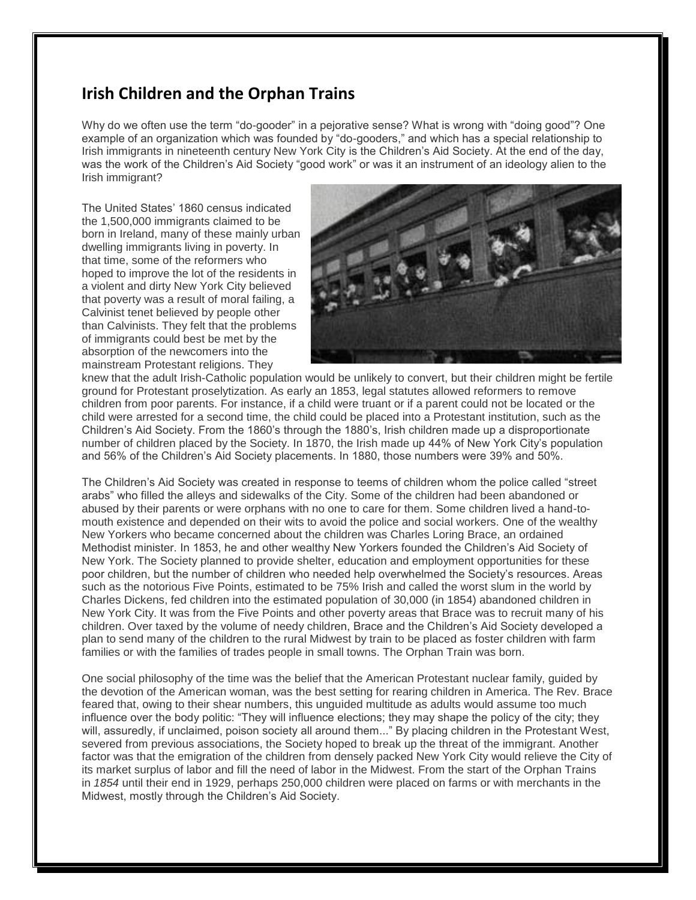## **Irish Children and the Orphan Trains**

Why do we often use the term "do-gooder" in a pejorative sense? What is wrong with "doing good"? One example of an organization which was founded by "do-gooders," and which has a special relationship to Irish immigrants in nineteenth century New York City is the Children's Aid Society. At the end of the day, was the work of the Children's Aid Society "good work" or was it an instrument of an ideology alien to the Irish immigrant?

The United States' 1860 census indicated the 1,500,000 immigrants claimed to be born in Ireland, many of these mainly urban dwelling immigrants living in poverty. In that time, some of the reformers who hoped to improve the lot of the residents in a violent and dirty New York City believed that poverty was a result of moral failing, a Calvinist tenet believed by people other than Calvinists. They felt that the problems of immigrants could best be met by the absorption of the newcomers into the mainstream Protestant religions. They



knew that the adult Irish-Catholic population would be unlikely to convert, but their children might be fertile ground for Protestant proselytization. As early an 1853, legal statutes allowed reformers to remove children from poor parents. For instance, if a child were truant or if a parent could not be located or the child were arrested for a second time, the child could be placed into a Protestant institution, such as the Children's Aid Society. From the 1860's through the 1880's, Irish children made up a disproportionate number of children placed by the Society. In 1870, the Irish made up 44% of New York City's population and 56% of the Children's Aid Society placements. In 1880, those numbers were 39% and 50%.

The Children's Aid Society was created in response to teems of children whom the police called "street arabs" who filled the alleys and sidewalks of the City. Some of the children had been abandoned or abused by their parents or were orphans with no one to care for them. Some children lived a hand-tomouth existence and depended on their wits to avoid the police and social workers. One of the wealthy New Yorkers who became concerned about the children was Charles Loring Brace, an ordained Methodist minister. In 1853, he and other wealthy New Yorkers founded the Children's Aid Society of New York. The Society planned to provide shelter, education and employment opportunities for these poor children, but the number of children who needed help overwhelmed the Society's resources. Areas such as the notorious Five Points, estimated to be 75% Irish and called the worst slum in the world by Charles Dickens, fed children into the estimated population of 30,000 (in 1854) abandoned children in New York City. It was from the Five Points and other poverty areas that Brace was to recruit many of his children. Over taxed by the volume of needy children, Brace and the Children's Aid Society developed a plan to send many of the children to the rural Midwest by train to be placed as foster children with farm families or with the families of trades people in small towns. The Orphan Train was born.

One social philosophy of the time was the belief that the American Protestant nuclear family, guided by the devotion of the American woman, was the best setting for rearing children in America. The Rev. Brace feared that, owing to their shear numbers, this unguided multitude as adults would assume too much influence over the body politic: "They will influence elections; they may shape the policy of the city; they will, assuredly, if unclaimed, poison society all around them..." By placing children in the Protestant West, severed from previous associations, the Society hoped to break up the threat of the immigrant. Another factor was that the emigration of the children from densely packed New York City would relieve the City of its market surplus of labor and fill the need of labor in the Midwest. From the start of the Orphan Trains in *1854* until their end in 1929, perhaps 250,000 children were placed on farms or with merchants in the Midwest, mostly through the Children's Aid Society.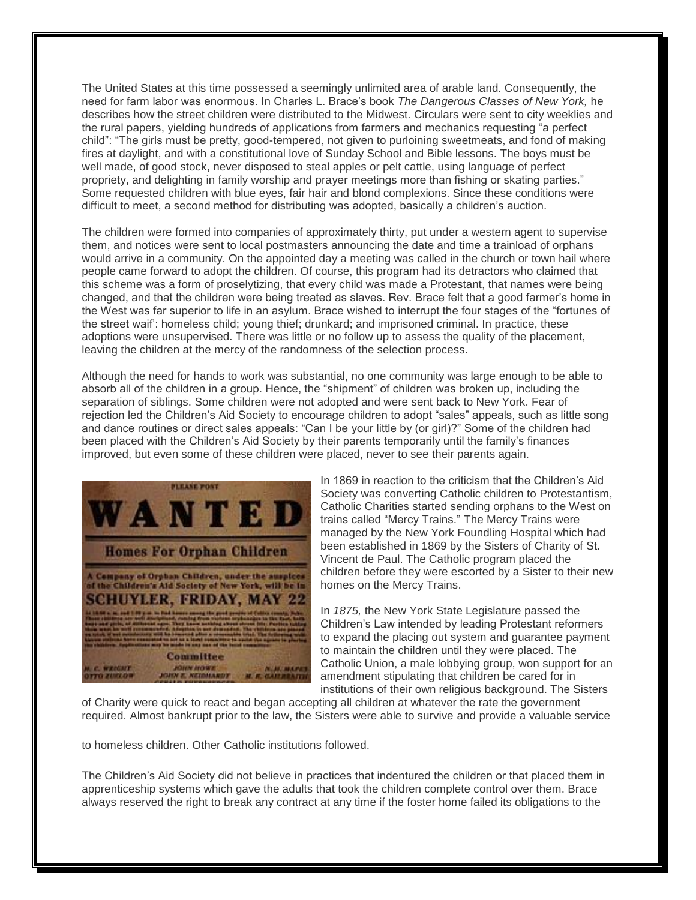The United States at this time possessed a seemingly unlimited area of arable land. Consequently, the need for farm labor was enormous. In Charles L. Brace's book *The Dangerous Classes of New York,* he describes how the street children were distributed to the Midwest. Circulars were sent to city weeklies and the rural papers, yielding hundreds of applications from farmers and mechanics requesting "a perfect child": "The girls must be pretty, good-tempered, not given to purloining sweetmeats, and fond of making fires at daylight, and with a constitutional love of Sunday School and Bible lessons. The boys must be well made, of good stock, never disposed to steal apples or pelt cattle, using language of perfect propriety, and delighting in family worship and prayer meetings more than fishing or skating parties." Some requested children with blue eyes, fair hair and blond complexions. Since these conditions were difficult to meet, a second method for distributing was adopted, basically a children's auction.

The children were formed into companies of approximately thirty, put under a western agent to supervise them, and notices were sent to local postmasters announcing the date and time a trainload of orphans would arrive in a community. On the appointed day a meeting was called in the church or town hail where people came forward to adopt the children. Of course, this program had its detractors who claimed that this scheme was a form of proselytizing, that every child was made a Protestant, that names were being changed, and that the children were being treated as slaves. Rev. Brace felt that a good farmer's home in the West was far superior to life in an asylum. Brace wished to interrupt the four stages of the "fortunes of the street waif': homeless child; young thief; drunkard; and imprisoned criminal. In practice, these adoptions were unsupervised. There was little or no follow up to assess the quality of the placement, leaving the children at the mercy of the randomness of the selection process.

Although the need for hands to work was substantial, no one community was large enough to be able to absorb all of the children in a group. Hence, the "shipment" of children was broken up, including the separation of siblings. Some children were not adopted and were sent back to New York. Fear of rejection led the Children's Aid Society to encourage children to adopt "sales" appeals, such as little song and dance routines or direct sales appeals: "Can I be your little by (or girl)?" Some of the children had been placed with the Children's Aid Society by their parents temporarily until the family's finances improved, but even some of these children were placed, never to see their parents again.



In 1869 in reaction to the criticism that the Children's Aid Society was converting Catholic children to Protestantism, Catholic Charities started sending orphans to the West on trains called "Mercy Trains." The Mercy Trains were managed by the New York Foundling Hospital which had been established in 1869 by the Sisters of Charity of St. Vincent de Paul. The Catholic program placed the children before they were escorted by a Sister to their new homes on the Mercy Trains.

In *1875,* the New York State Legislature passed the Children's Law intended by leading Protestant reformers to expand the placing out system and guarantee payment to maintain the children until they were placed. The Catholic Union, a male lobbying group, won support for an amendment stipulating that children be cared for in institutions of their own religious background. The Sisters

of Charity were quick to react and began accepting all children at whatever the rate the government required. Almost bankrupt prior to the law, the Sisters were able to survive and provide a valuable service

to homeless children. Other Catholic institutions followed.

The Children's Aid Society did not believe in practices that indentured the children or that placed them in apprenticeship systems which gave the adults that took the children complete control over them. Brace always reserved the right to break any contract at any time if the foster home failed its obligations to the